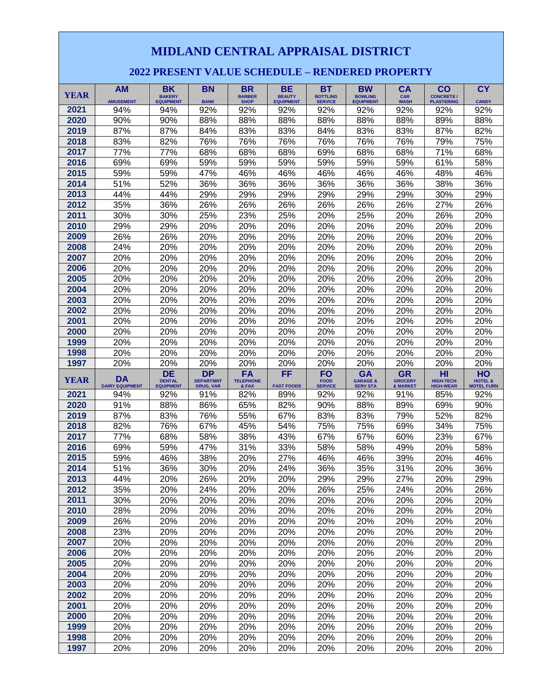# **MIDLAND CENTRAL APPRAISAL DISTRICT**

### **2022 PRESENT VALUE SCHEDULE – RENDERED PROPERTY**

| <b>YEAR</b>  | <b>AM</b>              | <b>BK</b><br><b>BAKERY</b>        | <b>BN</b>                            | <b>BR</b><br><b>BARBER</b> | <b>BE</b><br><b>BEAUTY</b> | <b>BT</b><br><b>BOTTLING</b>  | <b>BW</b><br><b>BOWLING</b>            | СA<br><b>CAR</b>           | $\mathbf{CO}$<br><b>CONCRETE /</b>   | <b>CY</b>                               |
|--------------|------------------------|-----------------------------------|--------------------------------------|----------------------------|----------------------------|-------------------------------|----------------------------------------|----------------------------|--------------------------------------|-----------------------------------------|
|              | <b>AMUSEMENT</b>       | <b>EQUIPMENT</b>                  | <b>BANK</b>                          | <b>SHOP</b>                | <b>EQUIPMENT</b>           | <b>SERVICE</b>                | <b>EQUIPMENT</b>                       | <b>WASH</b>                | <b>PLASTERING</b>                    | <b>CANDY</b>                            |
| 2021         | 94%                    | 94%                               | 92%                                  | 92%                        | 92%                        | 92%                           | 92%                                    | 92%                        | 92%                                  | 92%                                     |
| 2020         | 90%                    | 90%                               | 88%                                  | 88%                        | 88%                        | 88%                           | 88%                                    | 88%                        | 89%                                  | 88%                                     |
| 2019         | 87%                    | 87%                               | 84%                                  | 83%                        | 83%                        | 84%                           | 83%                                    | 83%                        | 87%                                  | 82%                                     |
| 2018         | 83%                    | 82%                               | 76%                                  | 76%                        | 76%                        | 76%                           | 76%                                    | 76%                        | 79%                                  | 75%                                     |
| 2017         | 77%                    | 77%                               | 68%                                  | 68%                        | 68%                        | 69%                           | 68%                                    | 68%                        | 71%                                  | 68%                                     |
| 2016         | 69%                    | 69%                               | 59%                                  | 59%                        | 59%                        | 59%                           | 59%                                    | 59%                        | 61%                                  | 58%                                     |
| 2015         | 59%                    | 59%                               | 47%                                  | 46%                        | 46%                        | 46%                           | 46%                                    | 46%                        | 48%                                  | 46%                                     |
| 2014         | 51%                    | 52%                               | 36%                                  | 36%                        | 36%                        | 36%                           | 36%                                    | 36%                        | 38%                                  | 36%                                     |
| 2013         | 44%                    | 44%                               | 29%                                  | 29%                        | 29%                        | 29%                           | 29%                                    | 29%                        | 30%                                  | 29%                                     |
| 2012         | 35%                    | 36%                               | 26%                                  | 26%                        | 26%                        | 26%                           | 26%                                    | 26%                        | 27%                                  | 26%                                     |
| 2011         | 30%                    | 30%                               | 25%                                  | 23%                        | 25%                        | 20%                           | 25%                                    | 20%                        | 26%                                  | 20%                                     |
| 2010         | 29%                    | 29%                               | 20%                                  | 20%                        | 20%                        | 20%                           | 20%                                    | 20%                        | 20%                                  | 20%                                     |
| 2009         | 26%                    | 26%                               | 20%                                  | 20%                        | 20%                        | 20%                           | 20%                                    | 20%                        | 20%                                  | 20%                                     |
| 2008         | 24%                    | 20%                               | 20%                                  | 20%                        | 20%                        | 20%                           | 20%                                    | 20%                        | 20%                                  | 20%                                     |
| 2007         | 20%                    | 20%                               | 20%                                  | 20%                        | 20%                        | 20%                           | 20%                                    | 20%                        | 20%                                  | 20%                                     |
| 2006         | 20%                    | 20%                               | 20%                                  | 20%                        | 20%                        | 20%                           | 20%                                    | 20%                        | 20%                                  | 20%                                     |
| 2005         | 20%                    | 20%                               | 20%                                  | 20%                        | 20%                        | 20%                           | 20%                                    | 20%                        | 20%                                  | 20%                                     |
| 2004         | 20%                    | 20%                               | 20%                                  | 20%                        | 20%                        | 20%                           | 20%                                    | 20%                        | 20%                                  | 20%                                     |
| 2003         | 20%                    | 20%                               | 20%                                  | 20%                        | 20%                        | 20%                           | 20%                                    | 20%                        | 20%                                  | 20%                                     |
| 2002         | 20%                    | 20%                               | 20%                                  | 20%                        | 20%                        | 20%                           | 20%                                    | 20%                        | 20%                                  | 20%                                     |
| 2001         | 20%                    | 20%                               | 20%                                  | 20%                        | 20%                        | 20%                           | 20%                                    | 20%                        | 20%                                  | 20%                                     |
| 2000         | 20%                    | 20%                               | 20%                                  | 20%                        | 20%                        | 20%                           | 20%                                    | 20%                        | 20%                                  | 20%                                     |
| 1999         | 20%                    | 20%                               | 20%                                  | 20%                        | 20%                        | 20%                           | 20%                                    | 20%                        | 20%                                  | 20%                                     |
| 1998         | 20%                    | 20%                               | 20%                                  | 20%                        | 20%                        | 20%                           | 20%                                    | 20%                        | 20%                                  | 20%                                     |
| 1997         | 20%                    | 20%                               | 20%                                  | 20%                        | 20%                        | 20%                           | 20%                                    | 20%                        | 20%                                  | 20%                                     |
|              |                        |                                   |                                      |                            |                            |                               |                                        |                            |                                      |                                         |
|              | <b>DA</b>              | <b>DE</b>                         | <b>DP</b>                            | FA                         | <b>FF</b>                  | <b>FO</b>                     | <b>GA</b>                              | <b>GR</b>                  | HI                                   | HO                                      |
| <b>YEAR</b>  | <b>DAIRY EQUIPMENT</b> | <b>DENTAL</b><br><b>EQUIPMENT</b> | <b>DEPARTMNT</b><br><b>DRUG, VAR</b> | <b>TELEPHONE</b><br>& FAX  | <b>FAST FOODS</b>          | <b>FOOD</b><br><b>SERVICE</b> | <b>GARAGE &amp;</b><br><b>SERV STA</b> | <b>GROCERY</b><br>& MARKET | <b>HIGH-TECH</b><br><b>HIGH-WEAR</b> | <b>HOTEL &amp;</b><br><b>MOTEL FURN</b> |
| 2021         | 94%                    | 92%                               | 91%                                  | 82%                        | 89%                        | 92%                           | 92%                                    | 91%                        | 85%                                  | 92%                                     |
| 2020         | 91%                    | 88%                               | 86%                                  | 65%                        | 82%                        | 90%                           | 88%                                    | 89%                        | 69%                                  | 90%                                     |
| 2019         | 87%                    | 83%                               | 76%                                  | 55%                        | 67%                        | 83%                           | 83%                                    | 79%                        | 52%                                  | 82%                                     |
| 2018         | 82%                    | 76%                               | 67%                                  | 45%                        | 54%                        | 75%                           | 75%                                    | 69%                        | 34%                                  | 75%                                     |
| 2017         | 77%                    | 68%                               | 58%                                  | 38%                        | 43%                        | 67%                           | 67%                                    | 60%                        | 23%                                  | 67%                                     |
| 2016         | 69%                    | 59%                               | 47%                                  | 31%                        | 33%                        | 58%                           | 58%                                    | 49%                        | 20%                                  | 58%                                     |
| 2015         | 59%                    | 46%                               | 38%                                  | 20%                        | 27%                        | 46%                           | 46%                                    | 39%                        | 20%                                  | 46%                                     |
| 2014         | 51%                    | 36%                               | 30%                                  | 20%                        | 24%                        | 36%                           | 35%                                    | 31%                        | 20%                                  | 36%                                     |
| 2013         | 44%                    | 20%                               | 26%                                  | 20%                        | 20%                        | 29%                           | 29%                                    | 27%                        | 20%                                  | 29%                                     |
| 2012         | 35%                    | 20%                               | 24%                                  | 20%                        | 20%                        | 26%                           | 25%                                    | 24%                        | 20%                                  | 26%                                     |
| 2011         | 30%                    | 20%                               | 20%                                  | 20%                        | 20%                        | 20%                           | 20%                                    | 20%                        | 20%                                  | 20%                                     |
| 2010         | 28%                    | 20%                               | 20%                                  | 20%                        | 20%                        | 20%                           | 20%                                    | 20%                        | 20%                                  | 20%                                     |
| 2009         | 26%                    | 20%                               | 20%                                  | 20%                        | 20%                        | 20%                           | 20%                                    | 20%                        | 20%                                  | 20%                                     |
| 2008         | 23%                    | 20%                               | 20%                                  | 20%                        | 20%                        | 20%                           | 20%                                    | 20%                        | 20%                                  | 20%                                     |
| 2007         | 20%                    | 20%                               | 20%                                  | 20%                        | 20%                        | 20%                           | 20%                                    | 20%                        | 20%                                  | 20%                                     |
| 2006         | 20%                    | 20%                               | 20%                                  | 20%                        | 20%                        | 20%                           | 20%                                    | 20%                        | 20%                                  | 20%                                     |
| 2005         | 20%                    | 20%                               | 20%                                  | 20%                        | 20%                        | 20%                           | 20%                                    | 20%                        | 20%                                  | 20%                                     |
| 2004         | 20%                    | 20%                               | 20%                                  | 20%                        | 20%                        | 20%                           | 20%                                    | 20%                        | 20%                                  | 20%                                     |
| 2003         | 20%                    | 20%                               | 20%                                  | 20%                        | 20%                        | 20%                           | 20%                                    | 20%                        | 20%                                  | 20%                                     |
| 2002         | 20%                    | 20%                               | 20%                                  | 20%                        | 20%                        | 20%                           | 20%                                    | 20%                        | 20%                                  | 20%                                     |
| 2001         | 20%                    | 20%                               | 20%                                  | 20%                        | 20%                        | 20%                           | 20%                                    | 20%                        | 20%                                  | 20%                                     |
| 2000         | 20%                    | 20%                               | 20%                                  | 20%                        | 20%                        | 20%                           | 20%                                    | 20%                        | 20%                                  | 20%                                     |
| 1999         | 20%                    | 20%                               | 20%                                  | 20%                        | 20%                        | 20%                           | 20%                                    | 20%                        | 20%                                  | 20%                                     |
| 1998<br>1997 | 20%<br>20%             | 20%<br>20%                        | 20%<br>20%                           | 20%<br>20%                 | 20%<br>20%                 | 20%<br>20%                    | 20%<br>20%                             | 20%<br>20%                 | 20%<br>20%                           | 20%<br>20%                              |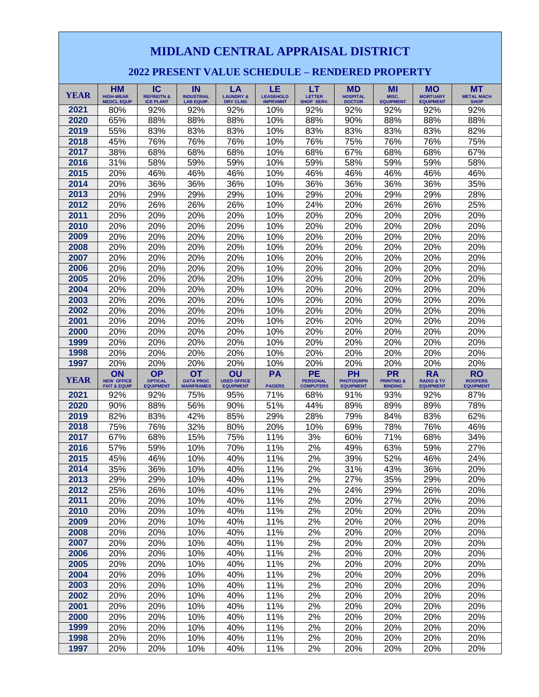# **MIDLAND CENTRAL APPRAISAL DISTRICT**

### **2022 PRESENT VALUE SCHEDULE – RENDERED PROPERTY**

| <b>YEAR</b>  | <b>HM</b><br><b>HIGH-WEAR</b>                      | IC<br><b>REFRIGTN &amp;</b>                     | IN<br><b>INDUSTRIAL</b>                            | LA<br><b>LAUNDRY &amp;</b>                   | LE<br><b>LEASEHOLD</b>     | LT<br><b>LETTER</b>                              | <b>MD</b><br><b>HOSPITAL</b>                      | MI<br>MISC.                                          | <b>MO</b><br><b>MORTUARY</b>                           | <b>MT</b><br><b>METAL MACH</b>                  |
|--------------|----------------------------------------------------|-------------------------------------------------|----------------------------------------------------|----------------------------------------------|----------------------------|--------------------------------------------------|---------------------------------------------------|------------------------------------------------------|--------------------------------------------------------|-------------------------------------------------|
| 2021         | <b>MEDCL EQUP</b><br>80%                           | <b>ICE PLANT</b><br>92%                         | <b>LAB EQUIP.</b><br>92%                           | <b>DRY CLNG</b><br>92%                       | <b>IMPRVMNT</b><br>10%     | <b>SHOP SERV</b><br>92%                          | <b>DOCTOR</b><br>92%                              | <b>EQUIPMENT</b><br>92%                              | <b>EQUIPMENT</b><br>92%                                | <b>SHOP</b><br>92%                              |
| 2020         | 65%                                                | 88%                                             | 88%                                                | 88%                                          | 10%                        | 88%                                              | 90%                                               | 88%                                                  | 88%                                                    | 88%                                             |
| 2019         | 55%                                                | 83%                                             | 83%                                                | 83%                                          | 10%                        | 83%                                              | 83%                                               | 83%                                                  | 83%                                                    | 82%                                             |
| 2018         | 45%                                                | 76%                                             | 76%                                                | 76%                                          | 10%                        | 76%                                              | 75%                                               | 76%                                                  | 76%                                                    | 75%                                             |
| 2017         | 38%                                                | 68%                                             | 68%                                                | 68%                                          | 10%                        | 68%                                              | 67%                                               | 68%                                                  | 68%                                                    | 67%                                             |
| 2016         | 31%                                                | 58%                                             | 59%                                                | 59%                                          | 10%                        | 59%                                              | 58%                                               | 59%                                                  | 59%                                                    | 58%                                             |
| 2015         | 20%                                                | 46%                                             | 46%                                                | 46%                                          | 10%                        | 46%                                              | 46%                                               | 46%                                                  | 46%                                                    | 46%                                             |
| 2014         | 20%                                                | 36%                                             | 36%                                                | 36%                                          | 10%                        | 36%                                              | 36%                                               | 36%                                                  | 36%                                                    | 35%                                             |
| 2013         | 20%                                                | 29%                                             | 29%                                                | 29%                                          | 10%                        | 29%                                              | 20%                                               | 29%                                                  | 29%                                                    | 28%                                             |
| 2012         | 20%                                                | 26%                                             | 26%                                                | 26%                                          | 10%                        | 24%                                              | 20%                                               | 26%                                                  | 26%                                                    | 25%                                             |
| 2011         | 20%                                                | 20%                                             | 20%                                                | 20%                                          | 10%                        | 20%                                              | 20%                                               | 20%                                                  | 20%                                                    | 20%                                             |
| 2010         | 20%                                                | 20%                                             | 20%                                                | 20%                                          | 10%                        | 20%                                              | 20%                                               | 20%                                                  | 20%                                                    | 20%                                             |
| 2009         | 20%                                                | 20%                                             | 20%                                                | 20%                                          | 10%                        | 20%                                              | 20%                                               | 20%                                                  | 20%                                                    | 20%                                             |
| 2008         | 20%                                                | 20%                                             | 20%                                                | 20%                                          | 10%                        | 20%                                              | 20%                                               | 20%                                                  | 20%                                                    | 20%                                             |
| 2007         | 20%                                                | 20%                                             | 20%                                                | 20%                                          | 10%                        | 20%                                              | 20%                                               | 20%                                                  | 20%                                                    | 20%                                             |
| 2006         | 20%                                                | 20%                                             | 20%                                                | 20%                                          | 10%                        | 20%                                              | 20%                                               | 20%                                                  | 20%                                                    | 20%                                             |
| 2005         | 20%                                                | 20%                                             | 20%                                                | 20%                                          | 10%                        | 20%                                              | 20%                                               | 20%                                                  | 20%                                                    | 20%                                             |
| 2004         | 20%                                                | 20%                                             | 20%                                                | 20%                                          | 10%                        | 20%                                              | 20%                                               | 20%                                                  | 20%                                                    | 20%                                             |
| 2003         | 20%                                                | 20%                                             | 20%                                                | 20%                                          | 10%                        | 20%                                              | 20%                                               | 20%                                                  | 20%                                                    | 20%                                             |
| 2002         | 20%                                                | 20%                                             | 20%                                                | 20%                                          | 10%                        | 20%                                              | 20%                                               | 20%                                                  | 20%                                                    | 20%                                             |
| 2001         | 20%                                                | 20%                                             | 20%                                                | 20%                                          | 10%                        | 20%                                              | 20%                                               | 20%                                                  | 20%                                                    | 20%                                             |
| 2000         | 20%                                                | 20%                                             | 20%                                                | 20%                                          | 10%                        | 20%                                              | 20%                                               | 20%                                                  | 20%                                                    | 20%                                             |
| 1999         | 20%                                                | 20%                                             | 20%                                                | 20%                                          | 10%                        | 20%                                              | 20%                                               | 20%                                                  | 20%                                                    | 20%                                             |
| 1998         | 20%                                                | 20%                                             | 20%                                                | 20%                                          | 10%                        | 20%                                              | 20%                                               | 20%                                                  | 20%                                                    | 20%                                             |
| 1997         | 20%                                                | 20%                                             | 20%                                                | 20%                                          | 10%                        | 20%                                              | 20%                                               | 20%                                                  | 20%                                                    | 20%                                             |
|              |                                                    |                                                 |                                                    |                                              |                            |                                                  |                                                   |                                                      |                                                        |                                                 |
| <b>YEAR</b>  | ON<br><b>NEW OFFICE</b><br><b>FIXT &amp; EQUIP</b> | <b>OP</b><br><b>OPTICAL</b><br><b>EQUIPMENT</b> | <b>OT</b><br><b>DATA PROC</b><br><b>MAINFRAMES</b> | OU<br><b>USED OFFICE</b><br><b>EQUIPMENT</b> | <b>PA</b><br><b>PAGERS</b> | <b>PE</b><br><b>PERSONAL</b><br><b>COMPUTERS</b> | <b>PH</b><br><b>PHOTOGRPH</b><br><b>EQUIPMENT</b> | <b>PR</b><br><b>PRINTING &amp;</b><br><b>BINDING</b> | <b>RA</b><br><b>RADIO &amp; TV</b><br><b>EQUIPMENT</b> | <b>RO</b><br><b>ROOFERS</b><br><b>EQUIPMENT</b> |
| 2021         | 92%                                                | 92%                                             | 75%                                                | 95%                                          | 71%                        | 68%                                              | 91%                                               | 93%                                                  | 92%                                                    | 87%                                             |
| 2020         | 90%                                                | 88%                                             | 56%                                                | 90%                                          | 51%                        | 44%                                              | 89%                                               | 89%                                                  | 89%                                                    | 78%                                             |
| 2019         | 82%                                                | 83%                                             | 42%                                                | 85%                                          | 29%                        | 28%                                              | 79%                                               | 84%                                                  | 83%                                                    | 62%                                             |
| 2018         | 75%                                                | 76%                                             | 32%                                                | 80%                                          | 20%                        | 10%                                              | 69%                                               | 78%                                                  | 76%                                                    | 46%                                             |
| 2017         | 67%                                                | 68%                                             | 15%                                                | 75%                                          | 11%                        | 3%                                               | 60%                                               | 71%                                                  | 68%                                                    | 34%                                             |
| 2016         | 57%                                                | 59%                                             | 10%                                                | 70%                                          | 11%                        | 2%                                               | 49%                                               | 63%                                                  | 59%                                                    | 27%                                             |
| 2015         | 45%                                                | 46%                                             | 10%                                                | 40%                                          | 11%                        | 2%                                               | 39%                                               | 52%                                                  | 46%                                                    | 24%                                             |
| 2014         | 35%                                                | 36%                                             | 10%                                                | 40%                                          | 11%                        | 2%                                               | 31%                                               | 43%                                                  | 36%                                                    | 20%                                             |
| 2013         | 29%                                                | 29%                                             | 10%                                                | 40%                                          | 11%                        | 2%                                               | 27%                                               | 35%                                                  | 29%                                                    | 20%                                             |
| 2012         | 25%                                                | 26%                                             | 10%                                                | 40%                                          | 11%                        | 2%                                               | 24%                                               | 29%                                                  | 26%                                                    | 20%                                             |
| 2011         | 20%                                                | 20%                                             | 10%                                                | 40%                                          | 11%                        | 2%                                               | 20%                                               | 27%                                                  | 20%                                                    | 20%                                             |
| 2010         | 20%                                                | 20%                                             | 10%                                                | 40%                                          | 11%                        | 2%                                               | 20%                                               | 20%                                                  | 20%                                                    | 20%                                             |
| 2009         | 20%                                                | 20%                                             | 10%                                                | 40%                                          | 11%                        | 2%                                               | 20%                                               | 20%                                                  | 20%                                                    | 20%                                             |
| 2008         | 20%                                                | 20%                                             | 10%                                                | 40%                                          | 11%                        | 2%                                               | 20%                                               | 20%                                                  | 20%                                                    | 20%                                             |
| 2007         | 20%                                                | 20%                                             | 10%                                                | 40%                                          | 11%                        | 2%                                               | 20%                                               | 20%                                                  | 20%                                                    | 20%                                             |
| 2006         | 20%                                                | 20%                                             | 10%                                                | 40%                                          | 11%                        | 2%                                               | 20%                                               | 20%                                                  | 20%                                                    | 20%                                             |
| 2005         | 20%                                                | 20%                                             | 10%                                                | 40%                                          | 11%                        | 2%                                               | 20%                                               | 20%                                                  | 20%                                                    | 20%                                             |
| 2004         | 20%                                                | 20%                                             | 10%                                                | 40%                                          | 11%                        | 2%                                               | 20%                                               | 20%                                                  | 20%                                                    | 20%                                             |
| 2003         | 20%                                                | 20%                                             | 10%                                                | 40%                                          | 11%                        | 2%                                               | 20%                                               | 20%                                                  | 20%                                                    | 20%                                             |
| 2002         | 20%                                                | 20%                                             | 10%                                                | 40%                                          | 11%                        | 2%                                               | 20%                                               | 20%                                                  | 20%                                                    | 20%                                             |
| 2001         | 20%                                                | 20%                                             | 10%                                                | 40%                                          | 11%                        | 2%                                               | 20%                                               | 20%                                                  | 20%                                                    | 20%                                             |
| 2000         | 20%                                                | 20%                                             | 10%                                                | 40%                                          | 11%                        | 2%                                               | 20%                                               | 20%                                                  | 20%                                                    | 20%                                             |
| 1999<br>1998 | 20%<br>20%                                         | 20%<br>20%                                      | 10%<br>10%                                         | 40%<br>40%                                   | 11%<br>11%                 | 2%<br>2%                                         | 20%<br>20%                                        | 20%<br>20%                                           | 20%<br>20%                                             | 20%<br>20%                                      |